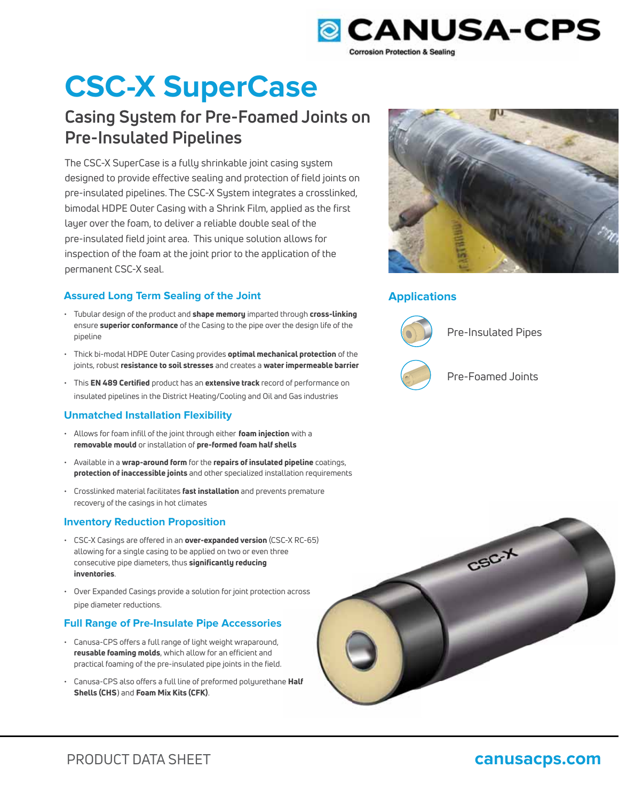

# **CSC-X SuperCase**

# **Casing System for Pre-Foamed Joints on Pre-Insulated Pipelines**

The CSC-X SuperCase is a fully shrinkable joint casing system designed to provide effective sealing and protection of field joints on pre-insulated pipelines. The CSC-X System integrates a crosslinked, bimodal HDPE Outer Casing with a Shrink Film, applied as the first layer over the foam, to deliver a reliable double seal of the pre-insulated field joint area. This unique solution allows for inspection of the foam at the joint prior to the application of the permanent CSC-X seal.

## **Assured Long Term Sealing of the Joint**

- Tubular design of the product and shape memory imparted through cross-linking ensure superior conformance of the Casing to the pipe over the design life of the pipeline
- Thick bi-modal HDPE Outer Casing provides optimal mechanical protection of the joints, robust resistance to soil stresses and creates a water impermeable barrier
- This EN 489 Certified product has an extensive track record of performance on insulated pipelines in the District Heating/Cooling and Oil and Gas industries

## **Unmatched Installation Flexibility**

- Allows for foam infill of the joint through either foam injection with a removable mould or installation of pre-formed foam half shells
- Available in a wrap-around form for the repairs of insulated pipeline coatings, protection of inaccessible joints and other specialized installation requirements
- Crosslinked material facilitates fast installation and prevents premature recovery of the casings in hot climates

## **Inventory Reduction Proposition**

- CSC-X Casings are offered in an over-expanded version (CSC-X RC-65) allowing for a single casing to be applied on two or even three consecutive pipe diameters, thus significantly reducing inventories. C-X RC<br>ee<br>n acro:<br>;<br>;<br>e **Half**
- Over Expanded Casings provide a solution for joint protection across pipe diameter reductions.

## **Full Range of Pre-Insulate Pipe Accessories**

- Canusa-CPS offers a full range of light weight wraparound, reusable foaming molds, which allow for an efficient and practical foaming of the pre-insulated pipe joints in the field.
- Canusa-CPS also offers a full line of preformed polyurethane Half Shells (CHS) and Foam Mix Kits (CFK).



# **Applications**



Pre-Insulated Pipes



Pre-Foamed Joints

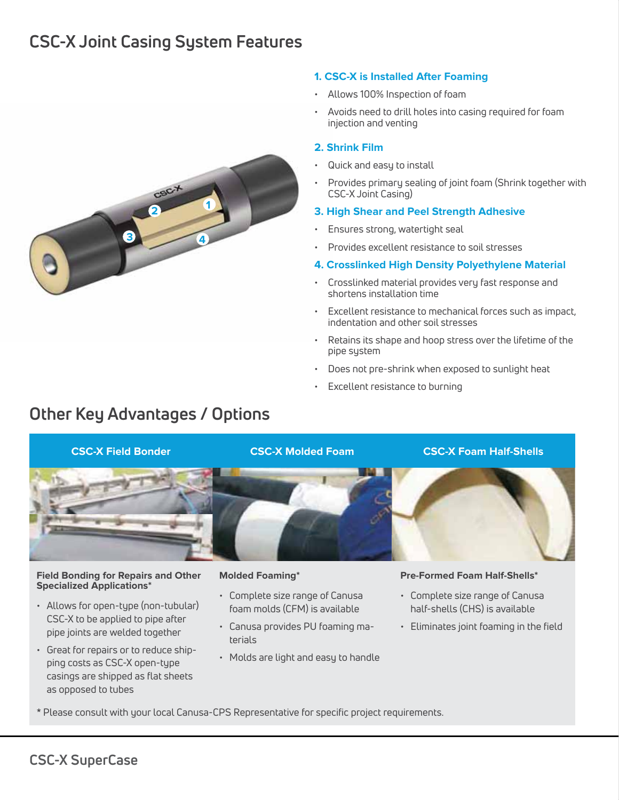# **CSC-X Joint Casing System Features**



### **1. CSC-X is Installed After Foaming**

- Allows 100% Inspection of foam
- Avoids need to drill holes into casing required for foam injection and venting

#### **2. Shrink Film**

- Quick and easy to install
- Provides primary sealing of joint foam (Shrink together with CSC-X Joint Casing)

### **3. High Shear and Peel Strength Adhesive**

- Ensures strong, watertight seal
- Provides excellent resistance to soil stresses
- **4. Crosslinked High Density Polyethylene Material**
- Crosslinked material provides very fast response and shortens installation time
- Excellent resistance to mechanical forces such as impact, indentation and other soil stresses
- Retains its shape and hoop stress over the lifetime of the pipe system
- Does not pre-shrink when exposed to sunlight heat
- Excellent resistance to burning

# **Other Key Advantages / Options**



#### **Field Bonding for Repairs and Other Specialized Applications\***

- Allows for open-type (non-tubular) CSC-X to be applied to pipe after pipe joints are welded together
- Great for repairs or to reduce shipping costs as CSC-X open-type casings are shipped as flat sheets as opposed to tubes

#### **Molded Foaming\***

- Complete size range of Canusa foam molds (CFM) is available
- Canusa provides PU foaming materials
- Molds are light and easy to handle

#### **Pre-Formed Foam Half-Shells\***

- Complete size range of Canusa half-shells (CHS) is available
- Eliminates joint foaming in the field
- \* Please consult with your local Canusa-CPS Representative for specific project requirements.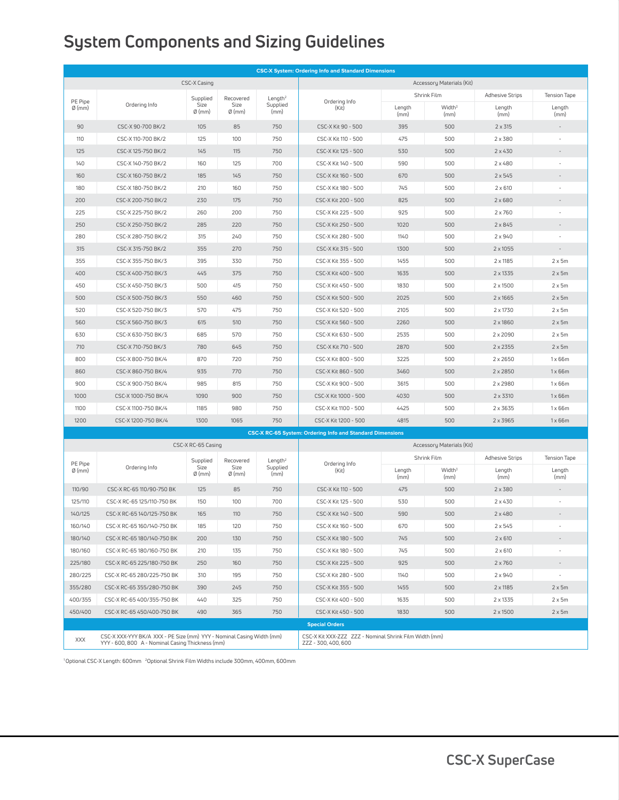# **System Components and Sizing Guidelines**

| CSC-X Casing<br>Accessory Materials (Kit)<br>Shrink Film<br><b>Adhesive Strips</b><br>Tension Tape<br>Supplied<br>Recovered<br>Length <sup>2</sup><br>PE Pipe<br>Ordering Info<br>Size<br>Ordering Info<br>Size<br>Supplied<br>Width <sup>3</sup><br>$\emptyset$ (mm)<br>(Kit)<br>Length<br>Length<br>Length<br>$\emptyset$ (mm)<br>$\emptyset$ (mm)<br>(mm)<br>(mm)<br>(mm)<br>(mm)<br>(mm)<br>90<br>CSC-X 90-700 BK/2<br>105<br>85<br>750<br>CSC-X Kit 90 - 500<br>395<br>500<br>$2 \times 315$<br>110<br>CSC-X 110-700 BK/2<br>125<br>100<br>750<br>CSC-X Kit 110 - 500<br>475<br>500<br>$2 \times 380$<br>125<br>CSC-X 125-750 BK/2<br>145<br>115<br>750<br>530<br>500<br>$2 \times 430$<br>CSC-X Kit 125 - 500<br>140<br>160<br>700<br>590<br>500<br>$2 \times 480$<br>CSC-X 140-750 BK/2<br>125<br>CSC-X Kit 140 - 500<br>160<br>185<br>750<br>670<br>500<br>$2 \times 545$<br>CSC-X 160-750 BK/2<br>145<br>CSC-X Kit 160 - 500<br>180<br>CSC-X 180-750 BK/2<br>210<br>160<br>750<br>CSC-X Kit 180 - 500<br>745<br>500<br>$2 \times 610$<br>750<br>500<br>$2 \times 680$<br>200<br>CSC-X 200-750 BK/2<br>230<br>175<br>CSC-X Kit 200 - 500<br>825<br>225<br>CSC-X 225-750 BK/2<br>260<br>200<br>750<br>925<br>500<br>$2 \times 760$<br>CSC-X Kit 225 - 500<br>750<br>1020<br>500<br>250<br>CSC-X 250-750 BK/2<br>285<br>220<br>CSC-X Kit 250 - 500<br>$2 \times 845$<br>280<br>CSC-X 280-750 BK/2<br>315<br>240<br>750<br>CSC-X Kit 280 - 500<br>1140<br>500<br>$2 \times 940$<br>315<br>CSC-X 315-750 BK/2<br>355<br>270<br>750<br>CSC-X Kit 315 - 500<br>1300<br>500<br>$2 \times 1055$<br>355<br>CSC-X 355-750 BK/3<br>395<br>330<br>750<br>CSC-X Kit 355 - 500<br>1455<br>500<br>2 x 1185<br>$2 \times 5m$<br>400<br>CSC-X 400-750 BK/3<br>445<br>375<br>750<br>CSC-X Kit 400 - 500<br>1635<br>500<br>2 x 1335<br>$2 \times 5m$<br>450<br>CSC-X 450-750 BK/3<br>500<br>415<br>750<br>CSC-X Kit 450 - 500<br>1830<br>500<br>$2 \times 1500$<br>$2 \times 5m$<br>500<br>CSC-X 500-750 BK/3<br>550<br>460<br>750<br>CSC-X Kit 500 - 500<br>2025<br>500<br>2 x 1665<br>$2 \times 5m$<br>750<br>520<br>570<br>475<br>2105<br>500<br>2 x 1730<br>$2 \times 5m$<br>CSC-X 520-750 BK/3<br>CSC-X Kit 520 - 500<br>560<br>615<br>510<br>750<br>2260<br>500<br>2 x 1860<br>$2 \times 5m$<br>CSC-X 560-750 BK/3<br>CSC-X Kit 560 - 500<br>750<br>630<br>685<br>570<br>2535<br>500<br>2 x 2090<br>$2 \times 5m$<br>CSC-X 630-750 BK/3<br>CSC-X Kit 630 - 500<br>780<br>645<br>750<br>2870<br>500<br>710<br>CSC-X 710-750 BK/3<br>CSC-X Kit 710 - 500<br>2 x 2355<br>$2 \times 5m$<br>800<br>870<br>720<br>750<br>3225<br>500<br>CSC-X 800-750 BK/4<br>CSC-X Kit 800 - 500<br>2 x 2650<br>1x66m<br>935<br>770<br>750<br>3460<br>500<br>860<br>CSC-X 860-750 BK/4<br>CSC-X Kit 860 - 500<br>$2 \times 2850$<br>1x66m<br>900<br>CSC-X 900-750 BK/4<br>985<br>815<br>750<br>CSC-X Kit 900 - 500<br>3615<br>500<br>2 x 2980<br>1x66m<br>1000<br>CSC-X 1000-750 BK/4<br>1090<br>900<br>750<br>4030<br>500<br>2 x 3310<br>1x66m<br>CSC-X Kit 1000 - 500<br>1100<br>CSC-X 1100-750 BK/4<br>1185<br>980<br>750<br>CSC-X Kit 1100 - 500<br>4425<br>500<br>2 x 3635<br>1x66m<br>1200<br>CSC-X 1200-750 BK/4<br>1300<br>1065<br>750<br>CSC-X Kit 1200 - 500<br>4815<br>500<br>2 x 3965<br>1x66m<br><b>CSC-X RC-65 System: Ordering Info and Standard Dimensions</b><br>CSC-X RC-65 Casing<br>Accessory Materials (Kit)<br>Shrink Film<br><b>Adhesive Strips</b><br>Tension Tape<br>Supplied<br>Recovered<br>Length <sup>2</sup><br>PE Pipe<br>Ordering Info<br>Size<br>Ordering Info<br>Size<br>Supplied<br>Width <sup>3</sup><br>$\emptyset$ (mm)<br>(Kit)<br>Length<br>Length<br>Length<br>$\emptyset$ (mm)<br>$\emptyset$ (mm)<br>(mm)<br>(mm)<br>(mm)<br>(mm)<br>(mm)<br>110/90<br>125<br>85<br>750<br>475<br>500<br>$2 \times 380$<br>CSC-X RC-65 110/90-750 BK<br>CSC-X Kit 110 - 500<br>125/110<br>150<br>100<br>700<br>530<br>500<br>$2 \times 430$<br>CSC-X RC-65 125/110-750 BK<br>CSC-X Kit 125 - 500<br>140/125<br>750<br>590<br>500<br>CSC-X RC-65 140/125-750 BK<br>165<br>110<br>CSC-X Kit 140 - 500<br>$2 \times 480$<br>160/140<br>670<br>185<br>120<br>750<br>500<br>$2 \times 545$<br>CSC-X RC-65 160/140-750 BK<br>CSC-X Kit 160 - 500<br>180/140<br>200<br>130<br>750<br>CSC-X Kit 180 - 500<br>745<br>500<br>$2 \times 610$<br>CSC-X RC-65 180/140-750 BK<br>750<br>180/160<br>CSC-X RC-65 180/160-750 BK<br>210<br>135<br>CSC-X Kit 180 - 500<br>745<br>500<br>$2 \times 610$<br>225/180<br>250<br>160<br>750<br>CSC-X Kit 225 - 500<br>925<br>500<br>$2 \times 760$<br>CSC-X RC-65 225/180-750 BK<br>$\overline{\phantom{a}}$<br>1140<br>280/225<br>CSC-X RC-65 280/225-750 BK<br>310<br>195<br>750<br>CSC-X Kit 280 - 500<br>500<br>$2 \times 940$<br>$\omega$<br>355/280<br>390<br>245<br>750<br>CSC-X Kit 355 - 500<br>1455<br>500<br>$2 \times 1185$<br>$2 \times 5m$<br>CSC-X RC-65 355/280-750 BK<br>750<br>400/355<br>CSC-X RC-65 400/355-750 BK<br>440<br>325<br>CSC-X Kit 400 - 500<br>1635<br>500<br>2 x 1335<br>$2 \times 5m$<br>450/400<br>750<br>CSC-X Kit 450 - 500<br>1830<br>500<br>$2 \times 1500$<br>$2 \times 5m$<br>CSC-X RC-65 450/400-750 BK<br>490<br>365<br><b>Special Orders</b><br>CSC-X XXX-YYY BK/A XXX - PE Size (mm) YYY - Nominal Casing Width (mm)<br>CSC-X Kit XXX-ZZZ ZZZ - Nominal Shrink Film Width (mm)<br>XXX<br>YYY - 600, 800 A - Nominal Casing Thickness (mm)<br>ZZZ - 300, 400, 600 | <b>CSC-X System: Ordering Info and Standard Dimensions</b> |  |  |  |  |  |  |  |  |  |
|-----------------------------------------------------------------------------------------------------------------------------------------------------------------------------------------------------------------------------------------------------------------------------------------------------------------------------------------------------------------------------------------------------------------------------------------------------------------------------------------------------------------------------------------------------------------------------------------------------------------------------------------------------------------------------------------------------------------------------------------------------------------------------------------------------------------------------------------------------------------------------------------------------------------------------------------------------------------------------------------------------------------------------------------------------------------------------------------------------------------------------------------------------------------------------------------------------------------------------------------------------------------------------------------------------------------------------------------------------------------------------------------------------------------------------------------------------------------------------------------------------------------------------------------------------------------------------------------------------------------------------------------------------------------------------------------------------------------------------------------------------------------------------------------------------------------------------------------------------------------------------------------------------------------------------------------------------------------------------------------------------------------------------------------------------------------------------------------------------------------------------------------------------------------------------------------------------------------------------------------------------------------------------------------------------------------------------------------------------------------------------------------------------------------------------------------------------------------------------------------------------------------------------------------------------------------------------------------------------------------------------------------------------------------------------------------------------------------------------------------------------------------------------------------------------------------------------------------------------------------------------------------------------------------------------------------------------------------------------------------------------------------------------------------------------------------------------------------------------------------------------------------------------------------------------------------------------------------------------------------------------------------------------------------------------------------------------------------------------------------------------------------------------------------------------------------------------------------------------------------------------------------------------------------------------------------------------------------------------------------------------------------------------------------------------------------------------------------------------------------------------------------------------------------------------------------------------------------------------------------------------------------------------------------------------------------------------------------------------------------------------------------------------------------------------------------------------------------------------------------------------------------------------------------------------------------------------------------------------------------------------------------------------------------------------------------------------------------------------------------------------------------------------------------------------------------------------------------------------------------------------------------------------------------------------------------------------------------------------------------------------------------------------------------------------------------------------------------------------------------------------------------------------------------------------------------------------------------------------------------------------------------------------------------------------------------------------------------------------------------------------------------------------------------------------------------------------------------------------------------------------------------------------------------------------------------------------------------------------------------------------------------------------------------------------------------------------------------------------------------------------------------------------------------------------------------|------------------------------------------------------------|--|--|--|--|--|--|--|--|--|
|                                                                                                                                                                                                                                                                                                                                                                                                                                                                                                                                                                                                                                                                                                                                                                                                                                                                                                                                                                                                                                                                                                                                                                                                                                                                                                                                                                                                                                                                                                                                                                                                                                                                                                                                                                                                                                                                                                                                                                                                                                                                                                                                                                                                                                                                                                                                                                                                                                                                                                                                                                                                                                                                                                                                                                                                                                                                                                                                                                                                                                                                                                                                                                                                                                                                                                                                                                                                                                                                                                                                                                                                                                                                                                                                                                                                                                                                                                                                                                                                                                                                                                                                                                                                                                                                                                                                                                                                                                                                                                                                                                                                                                                                                                                                                                                                                                                                                                                                                                                                                                                                                                                                                                                                                                                                                                                                                                                                                                         |                                                            |  |  |  |  |  |  |  |  |  |
|                                                                                                                                                                                                                                                                                                                                                                                                                                                                                                                                                                                                                                                                                                                                                                                                                                                                                                                                                                                                                                                                                                                                                                                                                                                                                                                                                                                                                                                                                                                                                                                                                                                                                                                                                                                                                                                                                                                                                                                                                                                                                                                                                                                                                                                                                                                                                                                                                                                                                                                                                                                                                                                                                                                                                                                                                                                                                                                                                                                                                                                                                                                                                                                                                                                                                                                                                                                                                                                                                                                                                                                                                                                                                                                                                                                                                                                                                                                                                                                                                                                                                                                                                                                                                                                                                                                                                                                                                                                                                                                                                                                                                                                                                                                                                                                                                                                                                                                                                                                                                                                                                                                                                                                                                                                                                                                                                                                                                                         |                                                            |  |  |  |  |  |  |  |  |  |
|                                                                                                                                                                                                                                                                                                                                                                                                                                                                                                                                                                                                                                                                                                                                                                                                                                                                                                                                                                                                                                                                                                                                                                                                                                                                                                                                                                                                                                                                                                                                                                                                                                                                                                                                                                                                                                                                                                                                                                                                                                                                                                                                                                                                                                                                                                                                                                                                                                                                                                                                                                                                                                                                                                                                                                                                                                                                                                                                                                                                                                                                                                                                                                                                                                                                                                                                                                                                                                                                                                                                                                                                                                                                                                                                                                                                                                                                                                                                                                                                                                                                                                                                                                                                                                                                                                                                                                                                                                                                                                                                                                                                                                                                                                                                                                                                                                                                                                                                                                                                                                                                                                                                                                                                                                                                                                                                                                                                                                         |                                                            |  |  |  |  |  |  |  |  |  |
|                                                                                                                                                                                                                                                                                                                                                                                                                                                                                                                                                                                                                                                                                                                                                                                                                                                                                                                                                                                                                                                                                                                                                                                                                                                                                                                                                                                                                                                                                                                                                                                                                                                                                                                                                                                                                                                                                                                                                                                                                                                                                                                                                                                                                                                                                                                                                                                                                                                                                                                                                                                                                                                                                                                                                                                                                                                                                                                                                                                                                                                                                                                                                                                                                                                                                                                                                                                                                                                                                                                                                                                                                                                                                                                                                                                                                                                                                                                                                                                                                                                                                                                                                                                                                                                                                                                                                                                                                                                                                                                                                                                                                                                                                                                                                                                                                                                                                                                                                                                                                                                                                                                                                                                                                                                                                                                                                                                                                                         |                                                            |  |  |  |  |  |  |  |  |  |
|                                                                                                                                                                                                                                                                                                                                                                                                                                                                                                                                                                                                                                                                                                                                                                                                                                                                                                                                                                                                                                                                                                                                                                                                                                                                                                                                                                                                                                                                                                                                                                                                                                                                                                                                                                                                                                                                                                                                                                                                                                                                                                                                                                                                                                                                                                                                                                                                                                                                                                                                                                                                                                                                                                                                                                                                                                                                                                                                                                                                                                                                                                                                                                                                                                                                                                                                                                                                                                                                                                                                                                                                                                                                                                                                                                                                                                                                                                                                                                                                                                                                                                                                                                                                                                                                                                                                                                                                                                                                                                                                                                                                                                                                                                                                                                                                                                                                                                                                                                                                                                                                                                                                                                                                                                                                                                                                                                                                                                         |                                                            |  |  |  |  |  |  |  |  |  |
|                                                                                                                                                                                                                                                                                                                                                                                                                                                                                                                                                                                                                                                                                                                                                                                                                                                                                                                                                                                                                                                                                                                                                                                                                                                                                                                                                                                                                                                                                                                                                                                                                                                                                                                                                                                                                                                                                                                                                                                                                                                                                                                                                                                                                                                                                                                                                                                                                                                                                                                                                                                                                                                                                                                                                                                                                                                                                                                                                                                                                                                                                                                                                                                                                                                                                                                                                                                                                                                                                                                                                                                                                                                                                                                                                                                                                                                                                                                                                                                                                                                                                                                                                                                                                                                                                                                                                                                                                                                                                                                                                                                                                                                                                                                                                                                                                                                                                                                                                                                                                                                                                                                                                                                                                                                                                                                                                                                                                                         |                                                            |  |  |  |  |  |  |  |  |  |
|                                                                                                                                                                                                                                                                                                                                                                                                                                                                                                                                                                                                                                                                                                                                                                                                                                                                                                                                                                                                                                                                                                                                                                                                                                                                                                                                                                                                                                                                                                                                                                                                                                                                                                                                                                                                                                                                                                                                                                                                                                                                                                                                                                                                                                                                                                                                                                                                                                                                                                                                                                                                                                                                                                                                                                                                                                                                                                                                                                                                                                                                                                                                                                                                                                                                                                                                                                                                                                                                                                                                                                                                                                                                                                                                                                                                                                                                                                                                                                                                                                                                                                                                                                                                                                                                                                                                                                                                                                                                                                                                                                                                                                                                                                                                                                                                                                                                                                                                                                                                                                                                                                                                                                                                                                                                                                                                                                                                                                         |                                                            |  |  |  |  |  |  |  |  |  |
|                                                                                                                                                                                                                                                                                                                                                                                                                                                                                                                                                                                                                                                                                                                                                                                                                                                                                                                                                                                                                                                                                                                                                                                                                                                                                                                                                                                                                                                                                                                                                                                                                                                                                                                                                                                                                                                                                                                                                                                                                                                                                                                                                                                                                                                                                                                                                                                                                                                                                                                                                                                                                                                                                                                                                                                                                                                                                                                                                                                                                                                                                                                                                                                                                                                                                                                                                                                                                                                                                                                                                                                                                                                                                                                                                                                                                                                                                                                                                                                                                                                                                                                                                                                                                                                                                                                                                                                                                                                                                                                                                                                                                                                                                                                                                                                                                                                                                                                                                                                                                                                                                                                                                                                                                                                                                                                                                                                                                                         |                                                            |  |  |  |  |  |  |  |  |  |
|                                                                                                                                                                                                                                                                                                                                                                                                                                                                                                                                                                                                                                                                                                                                                                                                                                                                                                                                                                                                                                                                                                                                                                                                                                                                                                                                                                                                                                                                                                                                                                                                                                                                                                                                                                                                                                                                                                                                                                                                                                                                                                                                                                                                                                                                                                                                                                                                                                                                                                                                                                                                                                                                                                                                                                                                                                                                                                                                                                                                                                                                                                                                                                                                                                                                                                                                                                                                                                                                                                                                                                                                                                                                                                                                                                                                                                                                                                                                                                                                                                                                                                                                                                                                                                                                                                                                                                                                                                                                                                                                                                                                                                                                                                                                                                                                                                                                                                                                                                                                                                                                                                                                                                                                                                                                                                                                                                                                                                         |                                                            |  |  |  |  |  |  |  |  |  |
|                                                                                                                                                                                                                                                                                                                                                                                                                                                                                                                                                                                                                                                                                                                                                                                                                                                                                                                                                                                                                                                                                                                                                                                                                                                                                                                                                                                                                                                                                                                                                                                                                                                                                                                                                                                                                                                                                                                                                                                                                                                                                                                                                                                                                                                                                                                                                                                                                                                                                                                                                                                                                                                                                                                                                                                                                                                                                                                                                                                                                                                                                                                                                                                                                                                                                                                                                                                                                                                                                                                                                                                                                                                                                                                                                                                                                                                                                                                                                                                                                                                                                                                                                                                                                                                                                                                                                                                                                                                                                                                                                                                                                                                                                                                                                                                                                                                                                                                                                                                                                                                                                                                                                                                                                                                                                                                                                                                                                                         |                                                            |  |  |  |  |  |  |  |  |  |
|                                                                                                                                                                                                                                                                                                                                                                                                                                                                                                                                                                                                                                                                                                                                                                                                                                                                                                                                                                                                                                                                                                                                                                                                                                                                                                                                                                                                                                                                                                                                                                                                                                                                                                                                                                                                                                                                                                                                                                                                                                                                                                                                                                                                                                                                                                                                                                                                                                                                                                                                                                                                                                                                                                                                                                                                                                                                                                                                                                                                                                                                                                                                                                                                                                                                                                                                                                                                                                                                                                                                                                                                                                                                                                                                                                                                                                                                                                                                                                                                                                                                                                                                                                                                                                                                                                                                                                                                                                                                                                                                                                                                                                                                                                                                                                                                                                                                                                                                                                                                                                                                                                                                                                                                                                                                                                                                                                                                                                         |                                                            |  |  |  |  |  |  |  |  |  |
|                                                                                                                                                                                                                                                                                                                                                                                                                                                                                                                                                                                                                                                                                                                                                                                                                                                                                                                                                                                                                                                                                                                                                                                                                                                                                                                                                                                                                                                                                                                                                                                                                                                                                                                                                                                                                                                                                                                                                                                                                                                                                                                                                                                                                                                                                                                                                                                                                                                                                                                                                                                                                                                                                                                                                                                                                                                                                                                                                                                                                                                                                                                                                                                                                                                                                                                                                                                                                                                                                                                                                                                                                                                                                                                                                                                                                                                                                                                                                                                                                                                                                                                                                                                                                                                                                                                                                                                                                                                                                                                                                                                                                                                                                                                                                                                                                                                                                                                                                                                                                                                                                                                                                                                                                                                                                                                                                                                                                                         |                                                            |  |  |  |  |  |  |  |  |  |
|                                                                                                                                                                                                                                                                                                                                                                                                                                                                                                                                                                                                                                                                                                                                                                                                                                                                                                                                                                                                                                                                                                                                                                                                                                                                                                                                                                                                                                                                                                                                                                                                                                                                                                                                                                                                                                                                                                                                                                                                                                                                                                                                                                                                                                                                                                                                                                                                                                                                                                                                                                                                                                                                                                                                                                                                                                                                                                                                                                                                                                                                                                                                                                                                                                                                                                                                                                                                                                                                                                                                                                                                                                                                                                                                                                                                                                                                                                                                                                                                                                                                                                                                                                                                                                                                                                                                                                                                                                                                                                                                                                                                                                                                                                                                                                                                                                                                                                                                                                                                                                                                                                                                                                                                                                                                                                                                                                                                                                         |                                                            |  |  |  |  |  |  |  |  |  |
|                                                                                                                                                                                                                                                                                                                                                                                                                                                                                                                                                                                                                                                                                                                                                                                                                                                                                                                                                                                                                                                                                                                                                                                                                                                                                                                                                                                                                                                                                                                                                                                                                                                                                                                                                                                                                                                                                                                                                                                                                                                                                                                                                                                                                                                                                                                                                                                                                                                                                                                                                                                                                                                                                                                                                                                                                                                                                                                                                                                                                                                                                                                                                                                                                                                                                                                                                                                                                                                                                                                                                                                                                                                                                                                                                                                                                                                                                                                                                                                                                                                                                                                                                                                                                                                                                                                                                                                                                                                                                                                                                                                                                                                                                                                                                                                                                                                                                                                                                                                                                                                                                                                                                                                                                                                                                                                                                                                                                                         |                                                            |  |  |  |  |  |  |  |  |  |
|                                                                                                                                                                                                                                                                                                                                                                                                                                                                                                                                                                                                                                                                                                                                                                                                                                                                                                                                                                                                                                                                                                                                                                                                                                                                                                                                                                                                                                                                                                                                                                                                                                                                                                                                                                                                                                                                                                                                                                                                                                                                                                                                                                                                                                                                                                                                                                                                                                                                                                                                                                                                                                                                                                                                                                                                                                                                                                                                                                                                                                                                                                                                                                                                                                                                                                                                                                                                                                                                                                                                                                                                                                                                                                                                                                                                                                                                                                                                                                                                                                                                                                                                                                                                                                                                                                                                                                                                                                                                                                                                                                                                                                                                                                                                                                                                                                                                                                                                                                                                                                                                                                                                                                                                                                                                                                                                                                                                                                         |                                                            |  |  |  |  |  |  |  |  |  |
|                                                                                                                                                                                                                                                                                                                                                                                                                                                                                                                                                                                                                                                                                                                                                                                                                                                                                                                                                                                                                                                                                                                                                                                                                                                                                                                                                                                                                                                                                                                                                                                                                                                                                                                                                                                                                                                                                                                                                                                                                                                                                                                                                                                                                                                                                                                                                                                                                                                                                                                                                                                                                                                                                                                                                                                                                                                                                                                                                                                                                                                                                                                                                                                                                                                                                                                                                                                                                                                                                                                                                                                                                                                                                                                                                                                                                                                                                                                                                                                                                                                                                                                                                                                                                                                                                                                                                                                                                                                                                                                                                                                                                                                                                                                                                                                                                                                                                                                                                                                                                                                                                                                                                                                                                                                                                                                                                                                                                                         |                                                            |  |  |  |  |  |  |  |  |  |
|                                                                                                                                                                                                                                                                                                                                                                                                                                                                                                                                                                                                                                                                                                                                                                                                                                                                                                                                                                                                                                                                                                                                                                                                                                                                                                                                                                                                                                                                                                                                                                                                                                                                                                                                                                                                                                                                                                                                                                                                                                                                                                                                                                                                                                                                                                                                                                                                                                                                                                                                                                                                                                                                                                                                                                                                                                                                                                                                                                                                                                                                                                                                                                                                                                                                                                                                                                                                                                                                                                                                                                                                                                                                                                                                                                                                                                                                                                                                                                                                                                                                                                                                                                                                                                                                                                                                                                                                                                                                                                                                                                                                                                                                                                                                                                                                                                                                                                                                                                                                                                                                                                                                                                                                                                                                                                                                                                                                                                         |                                                            |  |  |  |  |  |  |  |  |  |
|                                                                                                                                                                                                                                                                                                                                                                                                                                                                                                                                                                                                                                                                                                                                                                                                                                                                                                                                                                                                                                                                                                                                                                                                                                                                                                                                                                                                                                                                                                                                                                                                                                                                                                                                                                                                                                                                                                                                                                                                                                                                                                                                                                                                                                                                                                                                                                                                                                                                                                                                                                                                                                                                                                                                                                                                                                                                                                                                                                                                                                                                                                                                                                                                                                                                                                                                                                                                                                                                                                                                                                                                                                                                                                                                                                                                                                                                                                                                                                                                                                                                                                                                                                                                                                                                                                                                                                                                                                                                                                                                                                                                                                                                                                                                                                                                                                                                                                                                                                                                                                                                                                                                                                                                                                                                                                                                                                                                                                         |                                                            |  |  |  |  |  |  |  |  |  |
|                                                                                                                                                                                                                                                                                                                                                                                                                                                                                                                                                                                                                                                                                                                                                                                                                                                                                                                                                                                                                                                                                                                                                                                                                                                                                                                                                                                                                                                                                                                                                                                                                                                                                                                                                                                                                                                                                                                                                                                                                                                                                                                                                                                                                                                                                                                                                                                                                                                                                                                                                                                                                                                                                                                                                                                                                                                                                                                                                                                                                                                                                                                                                                                                                                                                                                                                                                                                                                                                                                                                                                                                                                                                                                                                                                                                                                                                                                                                                                                                                                                                                                                                                                                                                                                                                                                                                                                                                                                                                                                                                                                                                                                                                                                                                                                                                                                                                                                                                                                                                                                                                                                                                                                                                                                                                                                                                                                                                                         |                                                            |  |  |  |  |  |  |  |  |  |
|                                                                                                                                                                                                                                                                                                                                                                                                                                                                                                                                                                                                                                                                                                                                                                                                                                                                                                                                                                                                                                                                                                                                                                                                                                                                                                                                                                                                                                                                                                                                                                                                                                                                                                                                                                                                                                                                                                                                                                                                                                                                                                                                                                                                                                                                                                                                                                                                                                                                                                                                                                                                                                                                                                                                                                                                                                                                                                                                                                                                                                                                                                                                                                                                                                                                                                                                                                                                                                                                                                                                                                                                                                                                                                                                                                                                                                                                                                                                                                                                                                                                                                                                                                                                                                                                                                                                                                                                                                                                                                                                                                                                                                                                                                                                                                                                                                                                                                                                                                                                                                                                                                                                                                                                                                                                                                                                                                                                                                         |                                                            |  |  |  |  |  |  |  |  |  |
|                                                                                                                                                                                                                                                                                                                                                                                                                                                                                                                                                                                                                                                                                                                                                                                                                                                                                                                                                                                                                                                                                                                                                                                                                                                                                                                                                                                                                                                                                                                                                                                                                                                                                                                                                                                                                                                                                                                                                                                                                                                                                                                                                                                                                                                                                                                                                                                                                                                                                                                                                                                                                                                                                                                                                                                                                                                                                                                                                                                                                                                                                                                                                                                                                                                                                                                                                                                                                                                                                                                                                                                                                                                                                                                                                                                                                                                                                                                                                                                                                                                                                                                                                                                                                                                                                                                                                                                                                                                                                                                                                                                                                                                                                                                                                                                                                                                                                                                                                                                                                                                                                                                                                                                                                                                                                                                                                                                                                                         |                                                            |  |  |  |  |  |  |  |  |  |
|                                                                                                                                                                                                                                                                                                                                                                                                                                                                                                                                                                                                                                                                                                                                                                                                                                                                                                                                                                                                                                                                                                                                                                                                                                                                                                                                                                                                                                                                                                                                                                                                                                                                                                                                                                                                                                                                                                                                                                                                                                                                                                                                                                                                                                                                                                                                                                                                                                                                                                                                                                                                                                                                                                                                                                                                                                                                                                                                                                                                                                                                                                                                                                                                                                                                                                                                                                                                                                                                                                                                                                                                                                                                                                                                                                                                                                                                                                                                                                                                                                                                                                                                                                                                                                                                                                                                                                                                                                                                                                                                                                                                                                                                                                                                                                                                                                                                                                                                                                                                                                                                                                                                                                                                                                                                                                                                                                                                                                         |                                                            |  |  |  |  |  |  |  |  |  |
|                                                                                                                                                                                                                                                                                                                                                                                                                                                                                                                                                                                                                                                                                                                                                                                                                                                                                                                                                                                                                                                                                                                                                                                                                                                                                                                                                                                                                                                                                                                                                                                                                                                                                                                                                                                                                                                                                                                                                                                                                                                                                                                                                                                                                                                                                                                                                                                                                                                                                                                                                                                                                                                                                                                                                                                                                                                                                                                                                                                                                                                                                                                                                                                                                                                                                                                                                                                                                                                                                                                                                                                                                                                                                                                                                                                                                                                                                                                                                                                                                                                                                                                                                                                                                                                                                                                                                                                                                                                                                                                                                                                                                                                                                                                                                                                                                                                                                                                                                                                                                                                                                                                                                                                                                                                                                                                                                                                                                                         |                                                            |  |  |  |  |  |  |  |  |  |
|                                                                                                                                                                                                                                                                                                                                                                                                                                                                                                                                                                                                                                                                                                                                                                                                                                                                                                                                                                                                                                                                                                                                                                                                                                                                                                                                                                                                                                                                                                                                                                                                                                                                                                                                                                                                                                                                                                                                                                                                                                                                                                                                                                                                                                                                                                                                                                                                                                                                                                                                                                                                                                                                                                                                                                                                                                                                                                                                                                                                                                                                                                                                                                                                                                                                                                                                                                                                                                                                                                                                                                                                                                                                                                                                                                                                                                                                                                                                                                                                                                                                                                                                                                                                                                                                                                                                                                                                                                                                                                                                                                                                                                                                                                                                                                                                                                                                                                                                                                                                                                                                                                                                                                                                                                                                                                                                                                                                                                         |                                                            |  |  |  |  |  |  |  |  |  |
|                                                                                                                                                                                                                                                                                                                                                                                                                                                                                                                                                                                                                                                                                                                                                                                                                                                                                                                                                                                                                                                                                                                                                                                                                                                                                                                                                                                                                                                                                                                                                                                                                                                                                                                                                                                                                                                                                                                                                                                                                                                                                                                                                                                                                                                                                                                                                                                                                                                                                                                                                                                                                                                                                                                                                                                                                                                                                                                                                                                                                                                                                                                                                                                                                                                                                                                                                                                                                                                                                                                                                                                                                                                                                                                                                                                                                                                                                                                                                                                                                                                                                                                                                                                                                                                                                                                                                                                                                                                                                                                                                                                                                                                                                                                                                                                                                                                                                                                                                                                                                                                                                                                                                                                                                                                                                                                                                                                                                                         |                                                            |  |  |  |  |  |  |  |  |  |
|                                                                                                                                                                                                                                                                                                                                                                                                                                                                                                                                                                                                                                                                                                                                                                                                                                                                                                                                                                                                                                                                                                                                                                                                                                                                                                                                                                                                                                                                                                                                                                                                                                                                                                                                                                                                                                                                                                                                                                                                                                                                                                                                                                                                                                                                                                                                                                                                                                                                                                                                                                                                                                                                                                                                                                                                                                                                                                                                                                                                                                                                                                                                                                                                                                                                                                                                                                                                                                                                                                                                                                                                                                                                                                                                                                                                                                                                                                                                                                                                                                                                                                                                                                                                                                                                                                                                                                                                                                                                                                                                                                                                                                                                                                                                                                                                                                                                                                                                                                                                                                                                                                                                                                                                                                                                                                                                                                                                                                         |                                                            |  |  |  |  |  |  |  |  |  |
|                                                                                                                                                                                                                                                                                                                                                                                                                                                                                                                                                                                                                                                                                                                                                                                                                                                                                                                                                                                                                                                                                                                                                                                                                                                                                                                                                                                                                                                                                                                                                                                                                                                                                                                                                                                                                                                                                                                                                                                                                                                                                                                                                                                                                                                                                                                                                                                                                                                                                                                                                                                                                                                                                                                                                                                                                                                                                                                                                                                                                                                                                                                                                                                                                                                                                                                                                                                                                                                                                                                                                                                                                                                                                                                                                                                                                                                                                                                                                                                                                                                                                                                                                                                                                                                                                                                                                                                                                                                                                                                                                                                                                                                                                                                                                                                                                                                                                                                                                                                                                                                                                                                                                                                                                                                                                                                                                                                                                                         |                                                            |  |  |  |  |  |  |  |  |  |
|                                                                                                                                                                                                                                                                                                                                                                                                                                                                                                                                                                                                                                                                                                                                                                                                                                                                                                                                                                                                                                                                                                                                                                                                                                                                                                                                                                                                                                                                                                                                                                                                                                                                                                                                                                                                                                                                                                                                                                                                                                                                                                                                                                                                                                                                                                                                                                                                                                                                                                                                                                                                                                                                                                                                                                                                                                                                                                                                                                                                                                                                                                                                                                                                                                                                                                                                                                                                                                                                                                                                                                                                                                                                                                                                                                                                                                                                                                                                                                                                                                                                                                                                                                                                                                                                                                                                                                                                                                                                                                                                                                                                                                                                                                                                                                                                                                                                                                                                                                                                                                                                                                                                                                                                                                                                                                                                                                                                                                         |                                                            |  |  |  |  |  |  |  |  |  |
|                                                                                                                                                                                                                                                                                                                                                                                                                                                                                                                                                                                                                                                                                                                                                                                                                                                                                                                                                                                                                                                                                                                                                                                                                                                                                                                                                                                                                                                                                                                                                                                                                                                                                                                                                                                                                                                                                                                                                                                                                                                                                                                                                                                                                                                                                                                                                                                                                                                                                                                                                                                                                                                                                                                                                                                                                                                                                                                                                                                                                                                                                                                                                                                                                                                                                                                                                                                                                                                                                                                                                                                                                                                                                                                                                                                                                                                                                                                                                                                                                                                                                                                                                                                                                                                                                                                                                                                                                                                                                                                                                                                                                                                                                                                                                                                                                                                                                                                                                                                                                                                                                                                                                                                                                                                                                                                                                                                                                                         |                                                            |  |  |  |  |  |  |  |  |  |
|                                                                                                                                                                                                                                                                                                                                                                                                                                                                                                                                                                                                                                                                                                                                                                                                                                                                                                                                                                                                                                                                                                                                                                                                                                                                                                                                                                                                                                                                                                                                                                                                                                                                                                                                                                                                                                                                                                                                                                                                                                                                                                                                                                                                                                                                                                                                                                                                                                                                                                                                                                                                                                                                                                                                                                                                                                                                                                                                                                                                                                                                                                                                                                                                                                                                                                                                                                                                                                                                                                                                                                                                                                                                                                                                                                                                                                                                                                                                                                                                                                                                                                                                                                                                                                                                                                                                                                                                                                                                                                                                                                                                                                                                                                                                                                                                                                                                                                                                                                                                                                                                                                                                                                                                                                                                                                                                                                                                                                         |                                                            |  |  |  |  |  |  |  |  |  |
|                                                                                                                                                                                                                                                                                                                                                                                                                                                                                                                                                                                                                                                                                                                                                                                                                                                                                                                                                                                                                                                                                                                                                                                                                                                                                                                                                                                                                                                                                                                                                                                                                                                                                                                                                                                                                                                                                                                                                                                                                                                                                                                                                                                                                                                                                                                                                                                                                                                                                                                                                                                                                                                                                                                                                                                                                                                                                                                                                                                                                                                                                                                                                                                                                                                                                                                                                                                                                                                                                                                                                                                                                                                                                                                                                                                                                                                                                                                                                                                                                                                                                                                                                                                                                                                                                                                                                                                                                                                                                                                                                                                                                                                                                                                                                                                                                                                                                                                                                                                                                                                                                                                                                                                                                                                                                                                                                                                                                                         |                                                            |  |  |  |  |  |  |  |  |  |
|                                                                                                                                                                                                                                                                                                                                                                                                                                                                                                                                                                                                                                                                                                                                                                                                                                                                                                                                                                                                                                                                                                                                                                                                                                                                                                                                                                                                                                                                                                                                                                                                                                                                                                                                                                                                                                                                                                                                                                                                                                                                                                                                                                                                                                                                                                                                                                                                                                                                                                                                                                                                                                                                                                                                                                                                                                                                                                                                                                                                                                                                                                                                                                                                                                                                                                                                                                                                                                                                                                                                                                                                                                                                                                                                                                                                                                                                                                                                                                                                                                                                                                                                                                                                                                                                                                                                                                                                                                                                                                                                                                                                                                                                                                                                                                                                                                                                                                                                                                                                                                                                                                                                                                                                                                                                                                                                                                                                                                         |                                                            |  |  |  |  |  |  |  |  |  |
|                                                                                                                                                                                                                                                                                                                                                                                                                                                                                                                                                                                                                                                                                                                                                                                                                                                                                                                                                                                                                                                                                                                                                                                                                                                                                                                                                                                                                                                                                                                                                                                                                                                                                                                                                                                                                                                                                                                                                                                                                                                                                                                                                                                                                                                                                                                                                                                                                                                                                                                                                                                                                                                                                                                                                                                                                                                                                                                                                                                                                                                                                                                                                                                                                                                                                                                                                                                                                                                                                                                                                                                                                                                                                                                                                                                                                                                                                                                                                                                                                                                                                                                                                                                                                                                                                                                                                                                                                                                                                                                                                                                                                                                                                                                                                                                                                                                                                                                                                                                                                                                                                                                                                                                                                                                                                                                                                                                                                                         |                                                            |  |  |  |  |  |  |  |  |  |
|                                                                                                                                                                                                                                                                                                                                                                                                                                                                                                                                                                                                                                                                                                                                                                                                                                                                                                                                                                                                                                                                                                                                                                                                                                                                                                                                                                                                                                                                                                                                                                                                                                                                                                                                                                                                                                                                                                                                                                                                                                                                                                                                                                                                                                                                                                                                                                                                                                                                                                                                                                                                                                                                                                                                                                                                                                                                                                                                                                                                                                                                                                                                                                                                                                                                                                                                                                                                                                                                                                                                                                                                                                                                                                                                                                                                                                                                                                                                                                                                                                                                                                                                                                                                                                                                                                                                                                                                                                                                                                                                                                                                                                                                                                                                                                                                                                                                                                                                                                                                                                                                                                                                                                                                                                                                                                                                                                                                                                         |                                                            |  |  |  |  |  |  |  |  |  |
|                                                                                                                                                                                                                                                                                                                                                                                                                                                                                                                                                                                                                                                                                                                                                                                                                                                                                                                                                                                                                                                                                                                                                                                                                                                                                                                                                                                                                                                                                                                                                                                                                                                                                                                                                                                                                                                                                                                                                                                                                                                                                                                                                                                                                                                                                                                                                                                                                                                                                                                                                                                                                                                                                                                                                                                                                                                                                                                                                                                                                                                                                                                                                                                                                                                                                                                                                                                                                                                                                                                                                                                                                                                                                                                                                                                                                                                                                                                                                                                                                                                                                                                                                                                                                                                                                                                                                                                                                                                                                                                                                                                                                                                                                                                                                                                                                                                                                                                                                                                                                                                                                                                                                                                                                                                                                                                                                                                                                                         |                                                            |  |  |  |  |  |  |  |  |  |
|                                                                                                                                                                                                                                                                                                                                                                                                                                                                                                                                                                                                                                                                                                                                                                                                                                                                                                                                                                                                                                                                                                                                                                                                                                                                                                                                                                                                                                                                                                                                                                                                                                                                                                                                                                                                                                                                                                                                                                                                                                                                                                                                                                                                                                                                                                                                                                                                                                                                                                                                                                                                                                                                                                                                                                                                                                                                                                                                                                                                                                                                                                                                                                                                                                                                                                                                                                                                                                                                                                                                                                                                                                                                                                                                                                                                                                                                                                                                                                                                                                                                                                                                                                                                                                                                                                                                                                                                                                                                                                                                                                                                                                                                                                                                                                                                                                                                                                                                                                                                                                                                                                                                                                                                                                                                                                                                                                                                                                         |                                                            |  |  |  |  |  |  |  |  |  |
|                                                                                                                                                                                                                                                                                                                                                                                                                                                                                                                                                                                                                                                                                                                                                                                                                                                                                                                                                                                                                                                                                                                                                                                                                                                                                                                                                                                                                                                                                                                                                                                                                                                                                                                                                                                                                                                                                                                                                                                                                                                                                                                                                                                                                                                                                                                                                                                                                                                                                                                                                                                                                                                                                                                                                                                                                                                                                                                                                                                                                                                                                                                                                                                                                                                                                                                                                                                                                                                                                                                                                                                                                                                                                                                                                                                                                                                                                                                                                                                                                                                                                                                                                                                                                                                                                                                                                                                                                                                                                                                                                                                                                                                                                                                                                                                                                                                                                                                                                                                                                                                                                                                                                                                                                                                                                                                                                                                                                                         |                                                            |  |  |  |  |  |  |  |  |  |
|                                                                                                                                                                                                                                                                                                                                                                                                                                                                                                                                                                                                                                                                                                                                                                                                                                                                                                                                                                                                                                                                                                                                                                                                                                                                                                                                                                                                                                                                                                                                                                                                                                                                                                                                                                                                                                                                                                                                                                                                                                                                                                                                                                                                                                                                                                                                                                                                                                                                                                                                                                                                                                                                                                                                                                                                                                                                                                                                                                                                                                                                                                                                                                                                                                                                                                                                                                                                                                                                                                                                                                                                                                                                                                                                                                                                                                                                                                                                                                                                                                                                                                                                                                                                                                                                                                                                                                                                                                                                                                                                                                                                                                                                                                                                                                                                                                                                                                                                                                                                                                                                                                                                                                                                                                                                                                                                                                                                                                         |                                                            |  |  |  |  |  |  |  |  |  |
|                                                                                                                                                                                                                                                                                                                                                                                                                                                                                                                                                                                                                                                                                                                                                                                                                                                                                                                                                                                                                                                                                                                                                                                                                                                                                                                                                                                                                                                                                                                                                                                                                                                                                                                                                                                                                                                                                                                                                                                                                                                                                                                                                                                                                                                                                                                                                                                                                                                                                                                                                                                                                                                                                                                                                                                                                                                                                                                                                                                                                                                                                                                                                                                                                                                                                                                                                                                                                                                                                                                                                                                                                                                                                                                                                                                                                                                                                                                                                                                                                                                                                                                                                                                                                                                                                                                                                                                                                                                                                                                                                                                                                                                                                                                                                                                                                                                                                                                                                                                                                                                                                                                                                                                                                                                                                                                                                                                                                                         |                                                            |  |  |  |  |  |  |  |  |  |
|                                                                                                                                                                                                                                                                                                                                                                                                                                                                                                                                                                                                                                                                                                                                                                                                                                                                                                                                                                                                                                                                                                                                                                                                                                                                                                                                                                                                                                                                                                                                                                                                                                                                                                                                                                                                                                                                                                                                                                                                                                                                                                                                                                                                                                                                                                                                                                                                                                                                                                                                                                                                                                                                                                                                                                                                                                                                                                                                                                                                                                                                                                                                                                                                                                                                                                                                                                                                                                                                                                                                                                                                                                                                                                                                                                                                                                                                                                                                                                                                                                                                                                                                                                                                                                                                                                                                                                                                                                                                                                                                                                                                                                                                                                                                                                                                                                                                                                                                                                                                                                                                                                                                                                                                                                                                                                                                                                                                                                         |                                                            |  |  |  |  |  |  |  |  |  |
|                                                                                                                                                                                                                                                                                                                                                                                                                                                                                                                                                                                                                                                                                                                                                                                                                                                                                                                                                                                                                                                                                                                                                                                                                                                                                                                                                                                                                                                                                                                                                                                                                                                                                                                                                                                                                                                                                                                                                                                                                                                                                                                                                                                                                                                                                                                                                                                                                                                                                                                                                                                                                                                                                                                                                                                                                                                                                                                                                                                                                                                                                                                                                                                                                                                                                                                                                                                                                                                                                                                                                                                                                                                                                                                                                                                                                                                                                                                                                                                                                                                                                                                                                                                                                                                                                                                                                                                                                                                                                                                                                                                                                                                                                                                                                                                                                                                                                                                                                                                                                                                                                                                                                                                                                                                                                                                                                                                                                                         |                                                            |  |  |  |  |  |  |  |  |  |
|                                                                                                                                                                                                                                                                                                                                                                                                                                                                                                                                                                                                                                                                                                                                                                                                                                                                                                                                                                                                                                                                                                                                                                                                                                                                                                                                                                                                                                                                                                                                                                                                                                                                                                                                                                                                                                                                                                                                                                                                                                                                                                                                                                                                                                                                                                                                                                                                                                                                                                                                                                                                                                                                                                                                                                                                                                                                                                                                                                                                                                                                                                                                                                                                                                                                                                                                                                                                                                                                                                                                                                                                                                                                                                                                                                                                                                                                                                                                                                                                                                                                                                                                                                                                                                                                                                                                                                                                                                                                                                                                                                                                                                                                                                                                                                                                                                                                                                                                                                                                                                                                                                                                                                                                                                                                                                                                                                                                                                         |                                                            |  |  |  |  |  |  |  |  |  |
|                                                                                                                                                                                                                                                                                                                                                                                                                                                                                                                                                                                                                                                                                                                                                                                                                                                                                                                                                                                                                                                                                                                                                                                                                                                                                                                                                                                                                                                                                                                                                                                                                                                                                                                                                                                                                                                                                                                                                                                                                                                                                                                                                                                                                                                                                                                                                                                                                                                                                                                                                                                                                                                                                                                                                                                                                                                                                                                                                                                                                                                                                                                                                                                                                                                                                                                                                                                                                                                                                                                                                                                                                                                                                                                                                                                                                                                                                                                                                                                                                                                                                                                                                                                                                                                                                                                                                                                                                                                                                                                                                                                                                                                                                                                                                                                                                                                                                                                                                                                                                                                                                                                                                                                                                                                                                                                                                                                                                                         |                                                            |  |  |  |  |  |  |  |  |  |
|                                                                                                                                                                                                                                                                                                                                                                                                                                                                                                                                                                                                                                                                                                                                                                                                                                                                                                                                                                                                                                                                                                                                                                                                                                                                                                                                                                                                                                                                                                                                                                                                                                                                                                                                                                                                                                                                                                                                                                                                                                                                                                                                                                                                                                                                                                                                                                                                                                                                                                                                                                                                                                                                                                                                                                                                                                                                                                                                                                                                                                                                                                                                                                                                                                                                                                                                                                                                                                                                                                                                                                                                                                                                                                                                                                                                                                                                                                                                                                                                                                                                                                                                                                                                                                                                                                                                                                                                                                                                                                                                                                                                                                                                                                                                                                                                                                                                                                                                                                                                                                                                                                                                                                                                                                                                                                                                                                                                                                         |                                                            |  |  |  |  |  |  |  |  |  |
|                                                                                                                                                                                                                                                                                                                                                                                                                                                                                                                                                                                                                                                                                                                                                                                                                                                                                                                                                                                                                                                                                                                                                                                                                                                                                                                                                                                                                                                                                                                                                                                                                                                                                                                                                                                                                                                                                                                                                                                                                                                                                                                                                                                                                                                                                                                                                                                                                                                                                                                                                                                                                                                                                                                                                                                                                                                                                                                                                                                                                                                                                                                                                                                                                                                                                                                                                                                                                                                                                                                                                                                                                                                                                                                                                                                                                                                                                                                                                                                                                                                                                                                                                                                                                                                                                                                                                                                                                                                                                                                                                                                                                                                                                                                                                                                                                                                                                                                                                                                                                                                                                                                                                                                                                                                                                                                                                                                                                                         |                                                            |  |  |  |  |  |  |  |  |  |

<sup>1</sup>Optional CSC-X Length: 600mm <sup>-2</sup>Optional Shrink Film Widths include 300mm, 400mm, 600mm